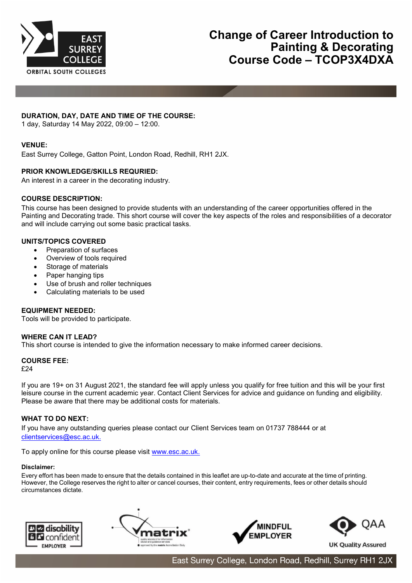

# **DURATION, DAY, DATE AND TIME OF THE COURSE:**

1 day, Saturday 14 May 2022, 09:00 – 12:00.

# **VENUE:**

East Surrey College, Gatton Point, London Road, Redhill, RH1 2JX.

# **PRIOR KNOWLEDGE/SKILLS REQURIED:**

An interest in a career in the decorating industry.

# **COURSE DESCRIPTION:**

This course has been designed to provide students with an understanding of the career opportunities offered in the Painting and Decorating trade. This short course will cover the key aspects of the roles and responsibilities of a decorator and will include carrying out some basic practical tasks.

### **UNITS/TOPICS COVERED**

- Preparation of surfaces
- Overview of tools required
- Storage of materials
- Paper hanging tips
- Use of brush and roller techniques
- Calculating materials to be used

### **EQUIPMENT NEEDED:**

Tools will be provided to participate.

### **WHERE CAN IT LEAD?**

This short course is intended to give the information necessary to make informed career decisions.

### **COURSE FEE:**

£24

If you are 19+ on 31 August 2021, the standard fee will apply unless you qualify for free tuition and this will be your first leisure course in the current academic year. Contact Client Services for advice and guidance on funding and eligibility. Please be aware that there may be additional costs for materials.

# **WHAT TO DO NEXT:**

If you have any outstanding queries please contact our Client Services team on 01737 788444 or at [clientservices@esc.ac.uk.](mailto:clientservices@esc.ac.uk.)

To apply online for this course please visit [www.esc.ac.uk.](http://www.esc.ac.uk/)

#### **Disclaimer:**

Every effort has been made to ensure that the details contained in this leaflet are up-to-date and accurate at the time of printing. However, the College reserves the right to alter or cancel courses, their content, entry requirements, fees or other details should circumstances dictate.